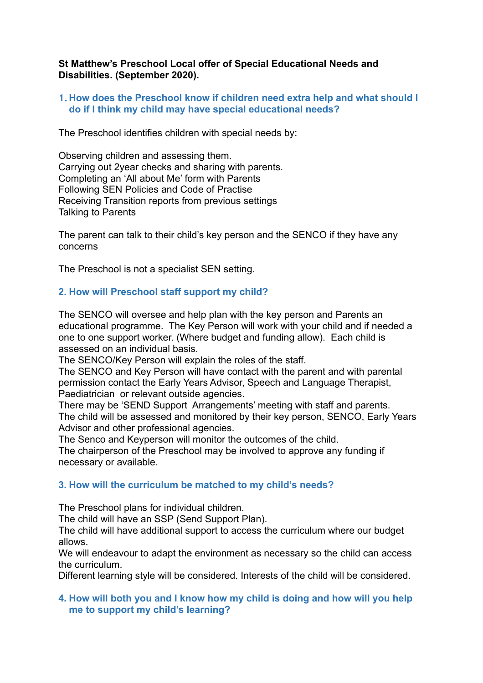### **St Matthew's Preschool Local offer of Special Educational Needs and Disabilities. (September 2020).**

### **1.How does the Preschool know if children need extra help and what should I do if I think my child may have special educational needs?**

The Preschool identifies children with special needs by:

Observing children and assessing them. Carrying out 2year checks and sharing with parents. Completing an 'All about Me' form with Parents Following SEN Policies and Code of Practise Receiving Transition reports from previous settings Talking to Parents

The parent can talk to their child's key person and the SENCO if they have any concerns

The Preschool is not a specialist SEN setting.

# **2. How will Preschool staff support my child?**

The SENCO will oversee and help plan with the key person and Parents an educational programme. The Key Person will work with your child and if needed a one to one support worker. (Where budget and funding allow). Each child is assessed on an individual basis.

The SENCO/Key Person will explain the roles of the staff.

The SENCO and Key Person will have contact with the parent and with parental permission contact the Early Years Advisor, Speech and Language Therapist, Paediatrician or relevant outside agencies.

There may be 'SEND Support Arrangements' meeting with staff and parents. The child will be assessed and monitored by their key person, SENCO, Early Years Advisor and other professional agencies.

The Senco and Keyperson will monitor the outcomes of the child.

The chairperson of the Preschool may be involved to approve any funding if necessary or available.

### **3. How will the curriculum be matched to my child's needs?**

The Preschool plans for individual children.

The child will have an SSP (Send Support Plan).

The child will have additional support to access the curriculum where our budget allows.

We will endeavour to adapt the environment as necessary so the child can access the curriculum.

Different learning style will be considered. Interests of the child will be considered.

#### **4. How will both you and I know how my child is doing and how will you help me to support my child's learning?**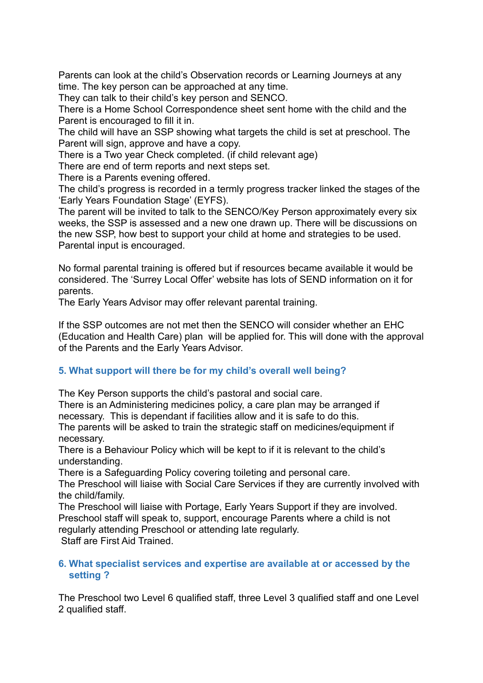Parents can look at the child's Observation records or Learning Journeys at any time. The key person can be approached at any time.

They can talk to their child's key person and SENCO.

There is a Home School Correspondence sheet sent home with the child and the Parent is encouraged to fill it in.

The child will have an SSP showing what targets the child is set at preschool. The Parent will sign, approve and have a copy.

There is a Two year Check completed. (if child relevant age)

There are end of term reports and next steps set.

There is a Parents evening offered.

The child's progress is recorded in a termly progress tracker linked the stages of the 'Early Years Foundation Stage' (EYFS).

The parent will be invited to talk to the SENCO/Key Person approximately every six weeks, the SSP is assessed and a new one drawn up. There will be discussions on the new SSP, how best to support your child at home and strategies to be used. Parental input is encouraged.

No formal parental training is offered but if resources became available it would be considered. The 'Surrey Local Offer' website has lots of SEND information on it for parents.

The Early Years Advisor may offer relevant parental training.

If the SSP outcomes are not met then the SENCO will consider whether an EHC (Education and Health Care) plan will be applied for. This will done with the approval of the Parents and the Early Years Advisor.

# **5. What support will there be for my child's overall well being?**

The Key Person supports the child's pastoral and social care.

There is an Administering medicines policy, a care plan may be arranged if necessary. This is dependant if facilities allow and it is safe to do this.

The parents will be asked to train the strategic staff on medicines/equipment if necessary.

There is a Behaviour Policy which will be kept to if it is relevant to the child's understanding.

There is a Safeguarding Policy covering toileting and personal care.

The Preschool will liaise with Social Care Services if they are currently involved with the child/family.

The Preschool will liaise with Portage, Early Years Support if they are involved. Preschool staff will speak to, support, encourage Parents where a child is not regularly attending Preschool or attending late regularly.

Staff are First Aid Trained.

### **6. What specialist services and expertise are available at or accessed by the setting ?**

The Preschool two Level 6 qualified staff, three Level 3 qualified staff and one Level 2 qualified staff.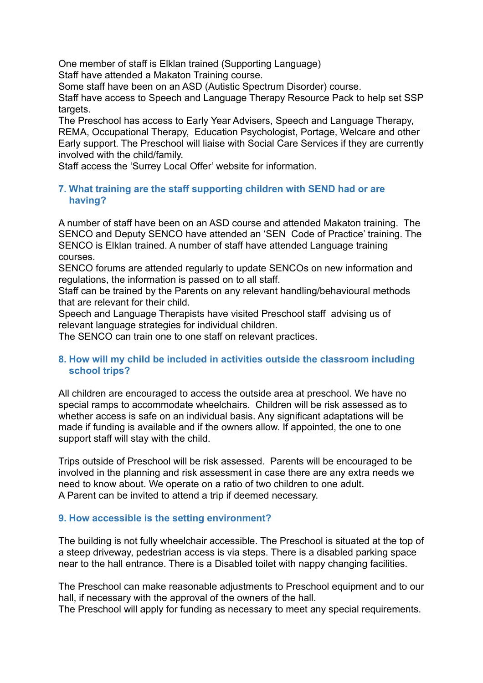One member of staff is Elklan trained (Supporting Language)

Staff have attended a Makaton Training course.

Some staff have been on an ASD (Autistic Spectrum Disorder) course.

Staff have access to Speech and Language Therapy Resource Pack to help set SSP targets.

The Preschool has access to Early Year Advisers, Speech and Language Therapy, REMA, Occupational Therapy, Education Psychologist, Portage, Welcare and other Early support. The Preschool will liaise with Social Care Services if they are currently involved with the child/family.

Staff access the 'Surrey Local Offer' website for information.

### **7. What training are the staff supporting children with SEND had or are having?**

A number of staff have been on an ASD course and attended Makaton training. The SENCO and Deputy SENCO have attended an 'SEN Code of Practice' training. The SENCO is Elklan trained. A number of staff have attended Language training courses.

SENCO forums are attended regularly to update SENCOs on new information and regulations, the information is passed on to all staff.

Staff can be trained by the Parents on any relevant handling/behavioural methods that are relevant for their child.

Speech and Language Therapists have visited Preschool staff advising us of relevant language strategies for individual children.

The SENCO can train one to one staff on relevant practices.

# **8. How will my child be included in activities outside the classroom including school trips?**

All children are encouraged to access the outside area at preschool. We have no special ramps to accommodate wheelchairs. Children will be risk assessed as to whether access is safe on an individual basis. Any significant adaptations will be made if funding is available and if the owners allow. If appointed, the one to one support staff will stay with the child.

Trips outside of Preschool will be risk assessed. Parents will be encouraged to be involved in the planning and risk assessment in case there are any extra needs we need to know about. We operate on a ratio of two children to one adult. A Parent can be invited to attend a trip if deemed necessary.

# **9. How accessible is the setting environment?**

The building is not fully wheelchair accessible. The Preschool is situated at the top of a steep driveway, pedestrian access is via steps. There is a disabled parking space near to the hall entrance. There is a Disabled toilet with nappy changing facilities.

The Preschool can make reasonable adjustments to Preschool equipment and to our hall, if necessary with the approval of the owners of the hall.

The Preschool will apply for funding as necessary to meet any special requirements.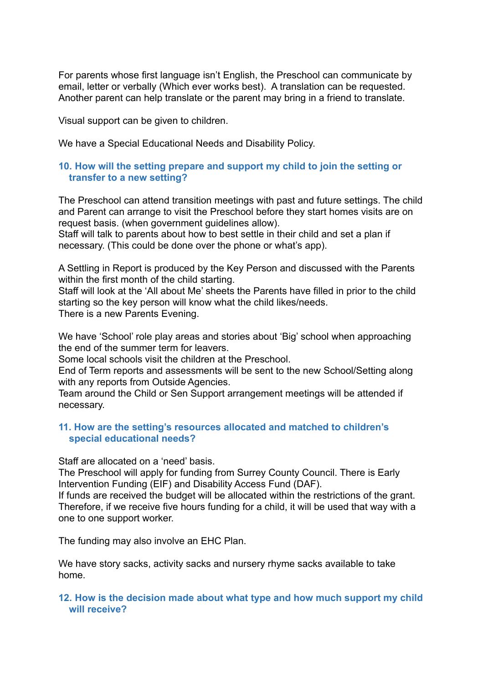For parents whose first language isn't English, the Preschool can communicate by email, letter or verbally (Which ever works best). A translation can be requested. Another parent can help translate or the parent may bring in a friend to translate.

Visual support can be given to children.

We have a Special Educational Needs and Disability Policy.

### **10. How will the setting prepare and support my child to join the setting or transfer to a new setting?**

The Preschool can attend transition meetings with past and future settings. The child and Parent can arrange to visit the Preschool before they start homes visits are on request basis. (when government guidelines allow).

Staff will talk to parents about how to best settle in their child and set a plan if necessary. (This could be done over the phone or what's app).

A Settling in Report is produced by the Key Person and discussed with the Parents within the first month of the child starting.

Staff will look at the 'All about Me' sheets the Parents have filled in prior to the child starting so the key person will know what the child likes/needs. There is a new Parents Evening.

We have 'School' role play areas and stories about 'Big' school when approaching the end of the summer term for leavers.

Some local schools visit the children at the Preschool.

End of Term reports and assessments will be sent to the new School/Setting along with any reports from Outside Agencies.

Team around the Child or Sen Support arrangement meetings will be attended if necessary.

### **11. How are the setting's resources allocated and matched to children's special educational needs?**

Staff are allocated on a 'need' basis.

The Preschool will apply for funding from Surrey County Council. There is Early Intervention Funding (EIF) and Disability Access Fund (DAF).

If funds are received the budget will be allocated within the restrictions of the grant. Therefore, if we receive five hours funding for a child, it will be used that way with a one to one support worker.

The funding may also involve an EHC Plan.

We have story sacks, activity sacks and nursery rhyme sacks available to take home.

### **12. How is the decision made about what type and how much support my child will receive?**